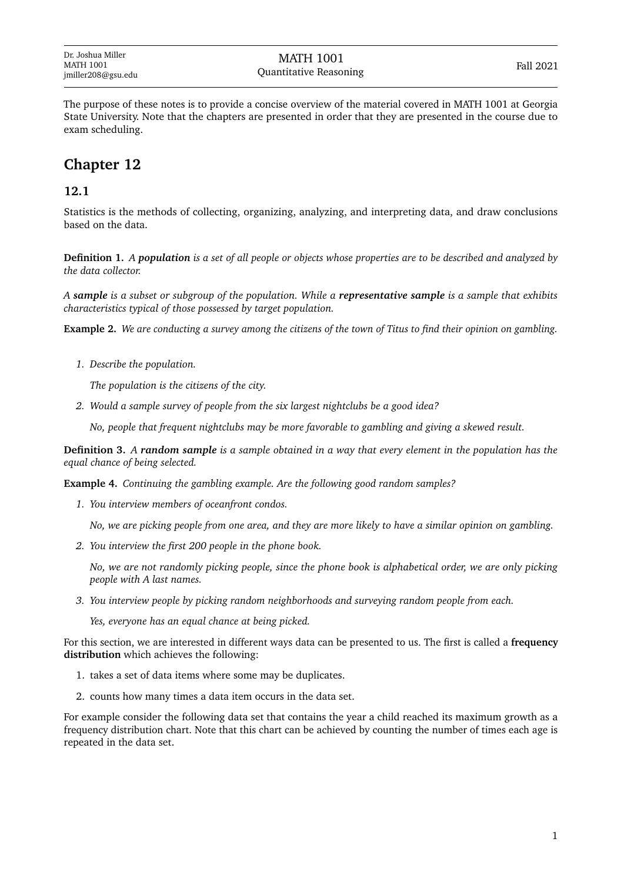The purpose of these notes is to provide a concise overview of the material covered in MATH 1001 at Georgia State University. Note that the chapters are presented in order that they are presented in the course due to exam scheduling.

# **Chapter 12**

## **12.1**

Statistics is the methods of collecting, organizing, analyzing, and interpreting data, and draw conclusions based on the data.

**Definition 1.** *A population is a set of all people or objects whose properties are to be described and analyzed by the data collector.*

*A sample is a subset or subgroup of the population. While a representative sample is a sample that exhibits characteristics typical of those possessed by target population.*

**Example 2.** *We are conducting a survey among the citizens of the town of Titus to find their opinion on gambling.*

*1. Describe the population.*

*The population is the citizens of the city.*

*2. Would a sample survey of people from the six largest nightclubs be a good idea?*

*No, people that frequent nightclubs may be more favorable to gambling and giving a skewed result.*

**Definition 3.** *A random sample is a sample obtained in a way that every element in the population has the equal chance of being selected.*

**Example 4.** *Continuing the gambling example. Are the following good random samples?*

*1. You interview members of oceanfront condos.*

*No, we are picking people from one area, and they are more likely to have a similar opinion on gambling.*

*2. You interview the first 200 people in the phone book.*

*No, we are not randomly picking people, since the phone book is alphabetical order, we are only picking people with A last names.*

*3. You interview people by picking random neighborhoods and surveying random people from each.*

*Yes, everyone has an equal chance at being picked.*

For this section, we are interested in different ways data can be presented to us. The first is called a **frequency distribution** which achieves the following:

- 1. takes a set of data items where some may be duplicates.
- 2. counts how many times a data item occurs in the data set.

For example consider the following data set that contains the year a child reached its maximum growth as a frequency distribution chart. Note that this chart can be achieved by counting the number of times each age is repeated in the data set.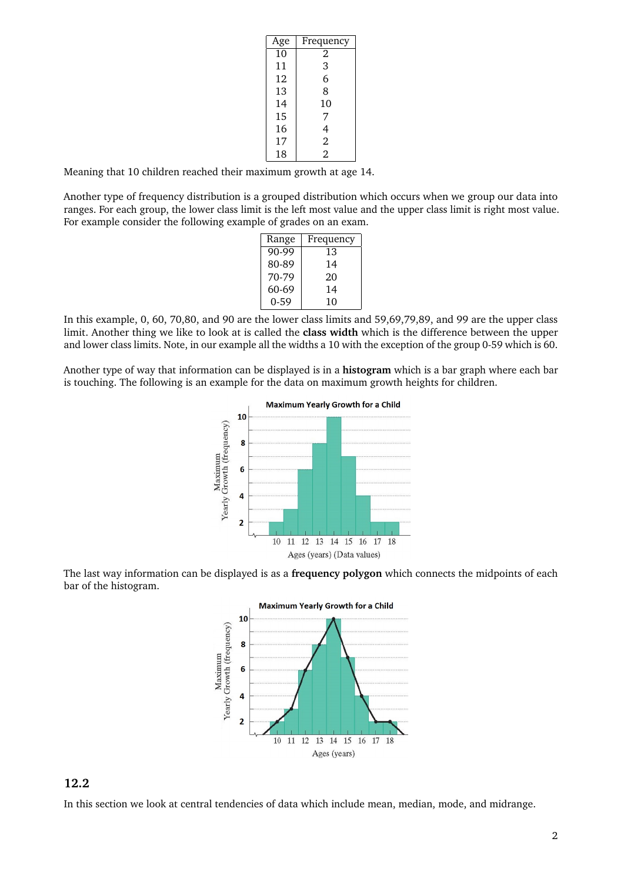| Age | Frequency      |
|-----|----------------|
| 10  | 2              |
| 11  | 3              |
| 12  | 6              |
| 13  | 8              |
| 14  | 10             |
| 15  | 7              |
| 16  | 4              |
| 17  | $\overline{2}$ |
| 18  | $\overline{2}$ |

Meaning that 10 children reached their maximum growth at age 14.

Another type of frequency distribution is a grouped distribution which occurs when we group our data into ranges. For each group, the lower class limit is the left most value and the upper class limit is right most value. For example consider the following example of grades on an exam.

| Range | Frequency |  |
|-------|-----------|--|
| 90-99 | 13        |  |
| 80-89 | 14        |  |
| 70-79 | 20        |  |
| 60-69 | 14        |  |
| 0-59  | 10        |  |

In this example, 0, 60, 70,80, and 90 are the lower class limits and 59,69,79,89, and 99 are the upper class limit. Another thing we like to look at is called the **class width** which is the difference between the upper and lower class limits. Note, in our example all the widths a 10 with the exception of the group 0-59 which is 60.

Another type of way that information can be displayed is in a **histogram** which is a bar graph where each bar is touching. The following is an example for the data on maximum growth heights for children.



The last way information can be displayed is as a **frequency polygon** which connects the midpoints of each bar of the histogram.



# **12.2**

In this section we look at central tendencies of data which include mean, median, mode, and midrange.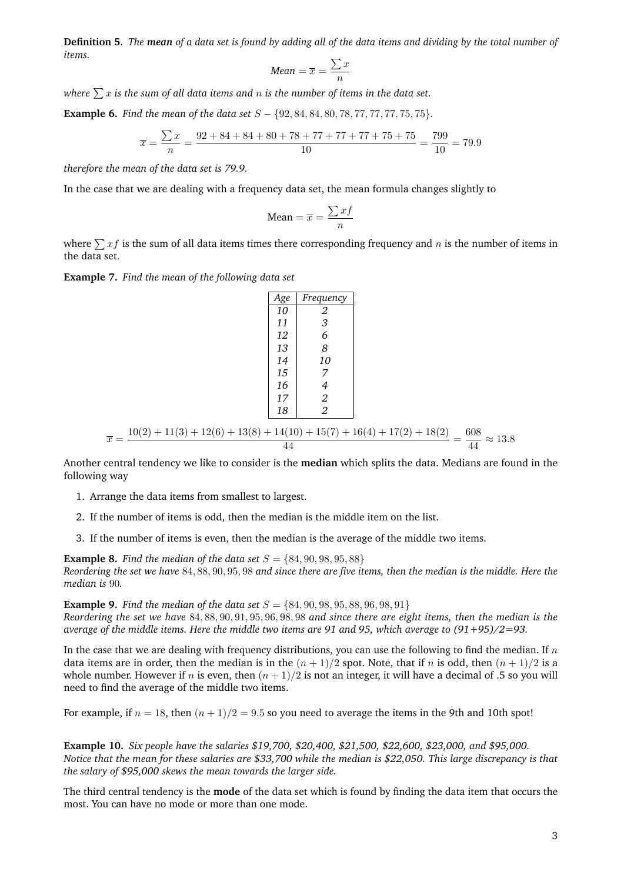**Definition 5.** *The mean of a data set is found by adding all of the data items and dividing by the total number of items.*

$$
Mean = \overline{x} = \frac{\sum x}{n}
$$

*where*  $\sum x$  *is the sum of all data items and n is the number of items in the data set.* 

**Example 6.** *Find the mean of the data set* S − {92, 84, 84, 80, 78, 77, 77, 77, 75, 75}*.*

$$
\overline{x} = \frac{\sum x}{n} = \frac{92 + 84 + 84 + 80 + 78 + 77 + 77 + 77 + 75 + 75}{10} = \frac{799}{10} = 79.9
$$

*therefore the mean of the data set is 79.9.*

In the case that we are dealing with a frequency data set, the mean formula changes slightly to

Mean = 
$$
\overline{x}
$$
 =  $\frac{\sum x f}{n}$ 

where  $\sum x f$  is the sum of all data items times there corresponding frequency and n is the number of items in the data set.

*Age Frequency*

**Example 7.** *Find the mean of the following data set*

$$
\frac{Age \text{ Frequency}}{10} = \frac{10}{2}
$$
\n
$$
\begin{bmatrix}\n10 & 2 \\
11 & 3 \\
12 & 6 \\
13 & 8 \\
14 & 10 \\
15 & 7 \\
16 & 4 \\
17 & 2 \\
18 & 2\n\end{bmatrix}
$$
\n
$$
\overline{x} = \frac{10(2) + 11(3) + 12(6) + 13(8) + 14(10) + 15(7) + 16(4) + 17(2) + 18(2)}{44} = \frac{608}{44} \approx 13.8
$$

Another central tendency we like to consider is the **median** which splits the data. Medians are found in the following way

- 1. Arrange the data items from smallest to largest.
- 2. If the number of items is odd, then the median is the middle item on the list.
- 3. If the number of items is even, then the median is the average of the middle two items.

**Example 8.** *Find the median of the data set*  $S = \{84, 90, 98, 95, 88\}$ *Reordering the set we have* 84, 88, 90, 95, 98 *and since there are five items, then the median is the middle. Here the median is* 90*.*

**Example 9.** *Find the median of the data set*  $S = \{84, 90, 98, 95, 88, 96, 98, 91\}$ *Reordering the set we have* 84, 88, 90, 91, 95, 96, 98, 98 *and since there are eight items, then the median is the average of the middle items. Here the middle two items are 91 and 95, which average to (91+95)/2=93.*

In the case that we are dealing with frequency distributions, you can use the following to find the median. If  $n$ data items are in order, then the median is in the  $(n + 1)/2$  spot. Note, that if n is odd, then  $(n + 1)/2$  is a whole number. However if n is even, then  $(n + 1)/2$  is not an integer, it will have a decimal of .5 so you will need to find the average of the middle two items.

For example, if  $n = 18$ , then  $(n + 1)/2 = 9.5$  so you need to average the items in the 9th and 10th spot!

**Example 10.** *Six people have the salaries \$19,700, \$20,400, \$21,500, \$22,600, \$23,000, and \$95,000. Notice that the mean for these salaries are \$33,700 while the median is \$22,050. This large discrepancy is that the salary of \$95,000 skews the mean towards the larger side.*

The third central tendency is the **mode** of the data set which is found by finding the data item that occurs the most. You can have no mode or more than one mode.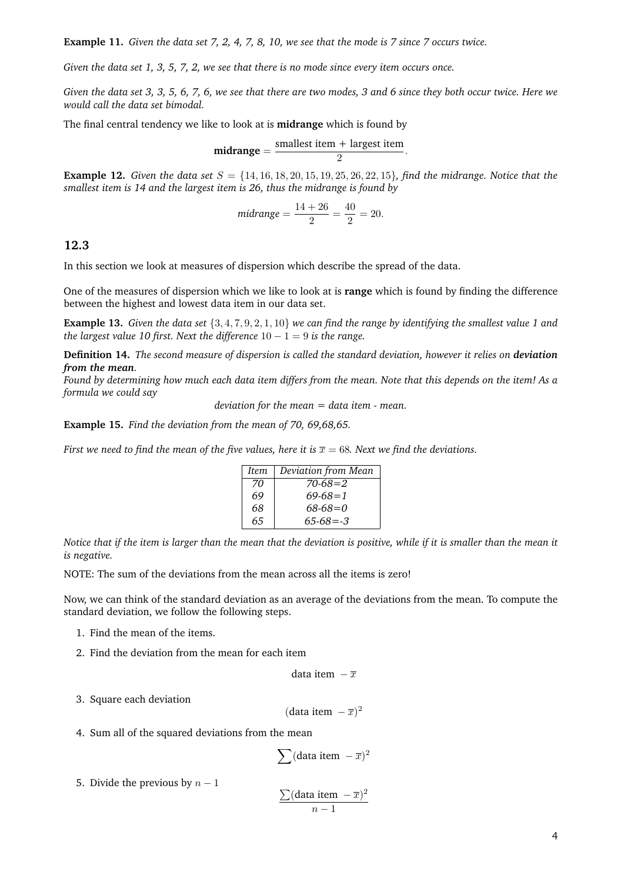**Example 11.** *Given the data set 7, 2, 4, 7, 8, 10, we see that the mode is 7 since 7 occurs twice.*

*Given the data set 1, 3, 5, 7, 2, we see that there is no mode since every item occurs once.*

*Given the data set 3, 3, 5, 6, 7, 6, we see that there are two modes, 3 and 6 since they both occur twice. Here we would call the data set bimodal.*

The final central tendency we like to look at is **midrange** which is found by

$$
midrange = \frac{smallest item + largest item}{2}.
$$

**Example 12.** *Given the data set*  $S = \{14, 16, 18, 20, 15, 19, 25, 26, 22, 15\}$ *, find the midrange. Notice that the smallest item is 14 and the largest item is 26, thus the midrange is found by*

$$
midrange = \frac{14 + 26}{2} = \frac{40}{2} = 20.
$$

#### **12.3**

In this section we look at measures of dispersion which describe the spread of the data.

One of the measures of dispersion which we like to look at is **range** which is found by finding the difference between the highest and lowest data item in our data set.

**Example 13.** *Given the data set* {3, 4, 7, 9, 2, 1, 10} *we can find the range by identifying the smallest value 1 and the largest value 10 first. Next the difference*  $10 - 1 = 9$  *is the range.* 

**Definition 14.** *The second measure of dispersion is called the standard deviation, however it relies on deviation from the mean.*

*Found by determining how much each data item differs from the mean. Note that this depends on the item! As a formula we could say*

*deviation for the mean = data item - mean.*

**Example 15.** *Find the deviation from the mean of 70, 69,68,65.*

*First we need to find the mean of the five values, here it is*  $\bar{x} = 68$ *. Next we find the deviations.* 

| Item | Deviation from Mean |
|------|---------------------|
| 70   | $70-68=2$           |
| 69   | $69 - 68 = 1$       |
| 68   | $68 - 68 = 0$       |
| 65   | $65-68 = -3$        |

*Notice that if the item is larger than the mean that the deviation is positive, while if it is smaller than the mean it is negative.*

NOTE: The sum of the deviations from the mean across all the items is zero!

Now, we can think of the standard deviation as an average of the deviations from the mean. To compute the standard deviation, we follow the following steps.

- 1. Find the mean of the items.
- 2. Find the deviation from the mean for each item

data item 
$$
-\overline{x}
$$

3. Square each deviation

(data item  $-\overline{x}$ )<sup>2</sup>

4. Sum all of the squared deviations from the mean

$$
\sum (\text{data item } -\overline{x})^2
$$

5. Divide the previous by  $n - 1$ 

$$
\frac{\sum (\text{data item } -\overline{x})^2}{n-1}
$$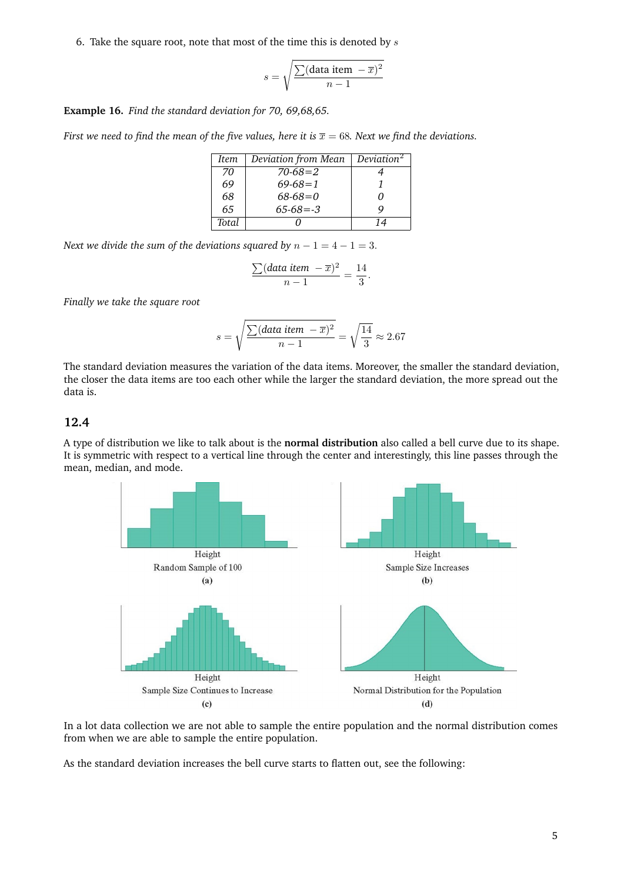6. Take the square root, note that most of the time this is denoted by  $s$ 

$$
s = \sqrt{\frac{\sum (\text{data item } -\overline{x})^2}{n-1}}
$$

**Example 16.** *Find the standard deviation for 70, 69,68,65.*

*First we need to find the mean of the five values, here it is*  $\bar{x} = 68$ *. Next we find the deviations.* 

| Item  | Deviation from Mean | Deviation <sup>2</sup> |
|-------|---------------------|------------------------|
| 70    | $70-68=2$           |                        |
| 69    | $69-68=1$           |                        |
| 68    | $68-68=0$           |                        |
| 65    | $65-68 = -3$        |                        |
| Total |                     | 14                     |

*Next we divide the sum of the deviations squared by*  $n - 1 = 4 - 1 = 3$ .

$$
\frac{\sum (data\ item\ -\overline{x})^2}{n-1} = \frac{14}{3}.
$$

*Finally we take the square root*

$$
s = \sqrt{\frac{\sum (data\ item - \overline{x})^2}{n-1}} = \sqrt{\frac{14}{3}} \approx 2.67
$$

The standard deviation measures the variation of the data items. Moreover, the smaller the standard deviation, the closer the data items are too each other while the larger the standard deviation, the more spread out the data is.

### **12.4**

A type of distribution we like to talk about is the **normal distribution** also called a bell curve due to its shape. It is symmetric with respect to a vertical line through the center and interestingly, this line passes through the mean, median, and mode.



In a lot data collection we are not able to sample the entire population and the normal distribution comes from when we are able to sample the entire population.

As the standard deviation increases the bell curve starts to flatten out, see the following: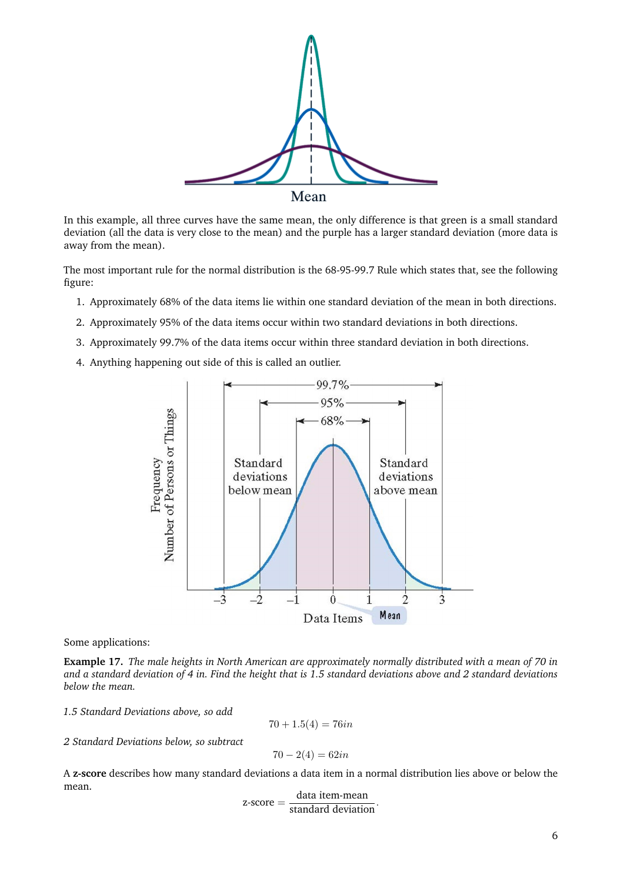

In this example, all three curves have the same mean, the only difference is that green is a small standard deviation (all the data is very close to the mean) and the purple has a larger standard deviation (more data is away from the mean).

The most important rule for the normal distribution is the 68-95-99.7 Rule which states that, see the following figure:

- 1. Approximately 68% of the data items lie within one standard deviation of the mean in both directions.
- 2. Approximately 95% of the data items occur within two standard deviations in both directions.
- 3. Approximately 99.7% of the data items occur within three standard deviation in both directions.
- 4. Anything happening out side of this is called an outlier.



Some applications:

**Example 17.** *The male heights in North American are approximately normally distributed with a mean of 70 in and a standard deviation of 4 in. Find the height that is 1.5 standard deviations above and 2 standard deviations below the mean.*

*1.5 Standard Deviations above, so add*

$$
70 + 1.5(4) = 76in
$$

*2 Standard Deviations below, so subtract*

$$
70 - 2(4) = 62in
$$

A **z-score** describes how many standard deviations a data item in a normal distribution lies above or below the mean.

$$
z\text{-score} = \frac{\text{data item-mean}}{\text{standard deviation}}.
$$